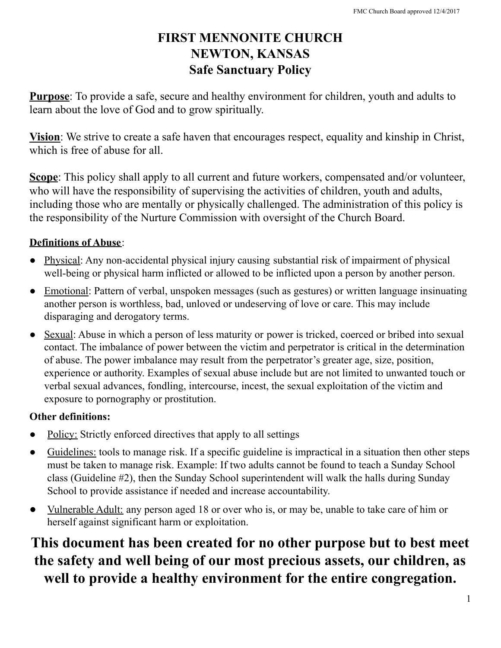## **FIRST MENNONITE CHURCH NEWTON, KANSAS Safe Sanctuary Policy**

**Purpose**: To provide a safe, secure and healthy environment for children, youth and adults to learn about the love of God and to grow spiritually.

**Vision**: We strive to create a safe haven that encourages respect, equality and kinship in Christ, which is free of abuse for all.

**Scope**: This policy shall apply to all current and future workers, compensated and/or volunteer, who will have the responsibility of supervising the activities of children, youth and adults, including those who are mentally or physically challenged. The administration of this policy is the responsibility of the Nurture Commission with oversight of the Church Board.

## **Definitions of Abuse**:

- Physical: Any non-accidental physical injury causing substantial risk of impairment of physical well-being or physical harm inflicted or allowed to be inflicted upon a person by another person.
- Emotional: Pattern of verbal, unspoken messages (such as gestures) or written language insinuating another person is worthless, bad, unloved or undeserving of love or care. This may include disparaging and derogatory terms.
- Sexual: Abuse in which a person of less maturity or power is tricked, coerced or bribed into sexual contact. The imbalance of power between the victim and perpetrator is critical in the determination of abuse. The power imbalance may result from the perpetrator's greater age, size, position, experience or authority. Examples of sexual abuse include but are not limited to unwanted touch or verbal sexual advances, fondling, intercourse, incest, the sexual exploitation of the victim and exposure to pornography or prostitution.

## **Other definitions:**

- Policy: Strictly enforced directives that apply to all settings
- Guidelines: tools to manage risk. If a specific guideline is impractical in a situation then other steps must be taken to manage risk. Example: If two adults cannot be found to teach a Sunday School class (Guideline #2), then the Sunday School superintendent will walk the halls during Sunday School to provide assistance if needed and increase accountability.
- Vulnerable Adult: any person aged 18 or over who is, or may be, unable to take care of him or herself against significant harm or exploitation.

**This document has been created for no other purpose but to best meet the safety and well being of our most precious assets, our children, as well to provide a healthy environment for the entire congregation.**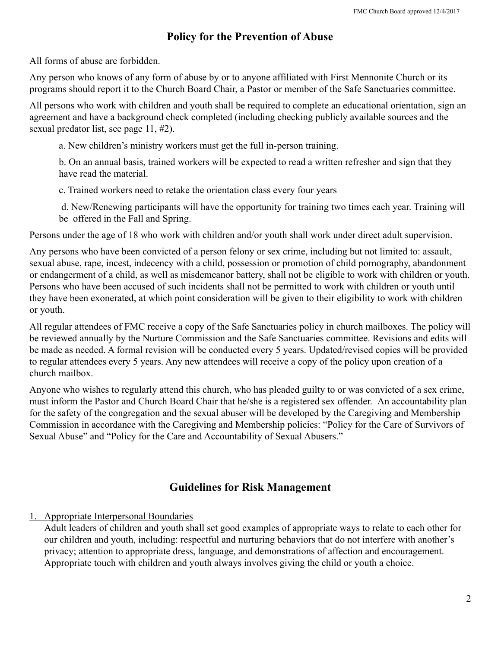#### **Policy for the Prevention of Abuse**

All forms of abuse are forbidden.

Any person who knows of any form of abuse by or to anyone affiliated with First Mennonite Church or its programs should report it to the Church Board Chair, a Pastor or member of the Safe Sanctuaries committee.

All persons who work with children and youth shall be required to complete an educational orientation, sign an agreement and have a background check completed (including checking publicly available sources and the sexual predator list, see page 11, #2).

a. New children's ministry workers must get the full in-person training.

b. On an annual basis, trained workers will be expected to read a written refresher and sign that they have read the material.

c. Trained workers need to retake the orientation class every four years

d. New/Renewing participants will have the opportunity for training two times each year. Training will be offered in the Fall and Spring.

Persons under the age of 18 who work with children and/or youth shall work under direct adult supervision.

Any persons who have been convicted of a person felony or sex crime, including but not limited to: assault, sexual abuse, rape, incest, indecency with a child, possession or promotion of child pornography, abandonment or endangerment of a child, as well as misdemeanor battery, shall not be eligible to work with children or youth. Persons who have been accused of such incidents shall not be permitted to work with children or youth until they have been exonerated, at which point consideration will be given to their eligibility to work with children or youth.

All regular attendees of FMC receive a copy of the Safe Sanctuaries policy in church mailboxes. The policy will be reviewed annually by the Nurture Commission and the Safe Sanctuaries committee. Revisions and edits will be made as needed. A formal revision will be conducted every 5 years. Updated/revised copies will be provided to regular attendees every 5 years. Any new attendees will receive a copy of the policy upon creation of a church mailbox.

Anyone who wishes to regularly attend this church, who has pleaded guilty to or was convicted of a sex crime, must inform the Pastor and Church Board Chair that he/she is a registered sex offender. An accountability plan for the safety of the congregation and the sexual abuser will be developed by the Caregiving and Membership Commission in accordance with the Caregiving and Membership policies: "Policy for the Care of Survivors of Sexual Abuse" and "Policy for the Care and Accountability of Sexual Abusers."

#### **Guidelines for Risk Management**

#### 1. Appropriate Interpersonal Boundaries

Adult leaders of children and youth shall set good examples of appropriate ways to relate to each other for our children and youth, including: respectful and nurturing behaviors that do not interfere with another's privacy; attention to appropriate dress, language, and demonstrations of affection and encouragement. Appropriate touch with children and youth always involves giving the child or youth a choice.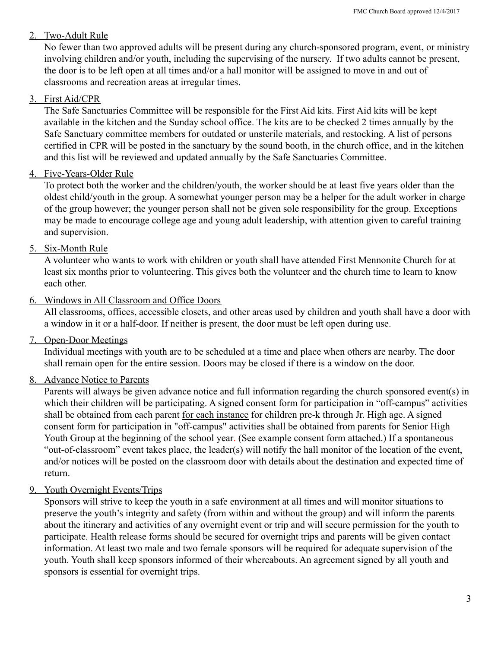#### 2. Two-Adult Rule

No fewer than two approved adults will be present during any church-sponsored program, event, or ministry involving children and/or youth, including the supervising of the nursery. If two adults cannot be present, the door is to be left open at all times and/or a hall monitor will be assigned to move in and out of classrooms and recreation areas at irregular times.

#### 3. First Aid/CPR

The Safe Sanctuaries Committee will be responsible for the First Aid kits. First Aid kits will be kept available in the kitchen and the Sunday school office. The kits are to be checked 2 times annually by the Safe Sanctuary committee members for outdated or unsterile materials, and restocking. A list of persons certified in CPR will be posted in the sanctuary by the sound booth, in the church office, and in the kitchen and this list will be reviewed and updated annually by the Safe Sanctuaries Committee.

#### 4. Five-Years-Older Rule

To protect both the worker and the children/youth, the worker should be at least five years older than the oldest child/youth in the group. A somewhat younger person may be a helper for the adult worker in charge of the group however; the younger person shall not be given sole responsibility for the group. Exceptions may be made to encourage college age and young adult leadership, with attention given to careful training and supervision.

#### 5. Six-Month Rule

A volunteer who wants to work with children or youth shall have attended First Mennonite Church for at least six months prior to volunteering. This gives both the volunteer and the church time to learn to know each other.

#### 6. Windows in All Classroom and Office Doors

All classrooms, offices, accessible closets, and other areas used by children and youth shall have a door with a window in it or a half-door. If neither is present, the door must be left open during use.

#### 7. Open-Door Meetings

Individual meetings with youth are to be scheduled at a time and place when others are nearby. The door shall remain open for the entire session. Doors may be closed if there is a window on the door.

#### 8. Advance Notice to Parents

Parents will always be given advance notice and full information regarding the church sponsored event(s) in which their children will be participating. A signed consent form for participation in "off-campus" activities shall be obtained from each parent for each instance for children pre-k through Jr. High age. A signed consent form for participation in "off-campus" activities shall be obtained from parents for Senior High Youth Group at the beginning of the school year. (See example consent form attached.) If a spontaneous "out-of-classroom" event takes place, the leader(s) will notify the hall monitor of the location of the event, and/or notices will be posted on the classroom door with details about the destination and expected time of return.

#### 9. Youth Overnight Events/Trips

Sponsors will strive to keep the youth in a safe environment at all times and will monitor situations to preserve the youth's integrity and safety (from within and without the group) and will inform the parents about the itinerary and activities of any overnight event or trip and will secure permission for the youth to participate. Health release forms should be secured for overnight trips and parents will be given contact information. At least two male and two female sponsors will be required for adequate supervision of the youth. Youth shall keep sponsors informed of their whereabouts. An agreement signed by all youth and sponsors is essential for overnight trips.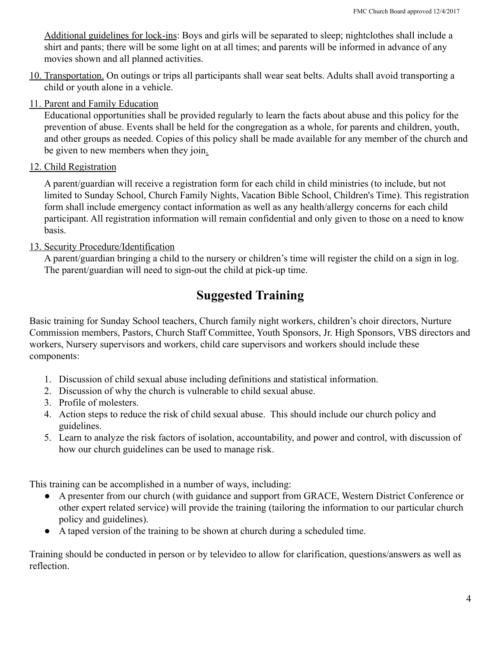Additional guidelines for lock-ins: Boys and girls will be separated to sleep; nightclothes shall include a shirt and pants; there will be some light on at all times; and parents will be informed in advance of any movies shown and all planned activities.

- 10. Transportation. On outings or trips all participants shall wear seat belts. Adults shall avoid transporting a child or youth alone in a vehicle.
- 11. Parent and Family Education

Educational opportunities shall be provided regularly to learn the facts about abuse and this policy for the prevention of abuse. Events shall be held for the congregation as a whole, for parents and children, youth, and other groups as needed. Copies of this policy shall be made available for any member of the church and be given to new members when they join.

12. Child Registration

A parent/guardian will receive a registration form for each child in child ministries (to include, but not limited to Sunday School, Church Family Nights, Vacation Bible School, Children's Time). This registration form shall include emergency contact information as well as any health/allergy concerns for each child participant. All registration information will remain confidential and only given to those on a need to know basis.

13. Security Procedure/Identification

A parent/guardian bringing a child to the nursery or children's time will register the child on a sign in log. The parent/guardian will need to sign-out the child at pick-up time.

## **Suggested Training**

Basic training for Sunday School teachers, Church family night workers, children's choir directors, Nurture Commission members, Pastors, Church Staff Committee, Youth Sponsors, Jr. High Sponsors, VBS directors and workers, Nursery supervisors and workers, child care supervisors and workers should include these components:

- 1. Discussion of child sexual abuse including definitions and statistical information.
- 2. Discussion of why the church is vulnerable to child sexual abuse.
- 3. Profile of molesters.
- 4. Action steps to reduce the risk of child sexual abuse. This should include our church policy and guidelines.
- 5. Learn to analyze the risk factors of isolation, accountability, and power and control, with discussion of how our church guidelines can be used to manage risk.

This training can be accomplished in a number of ways, including:

- A presenter from our church (with guidance and support from GRACE, Western District Conference or other expert related service) will provide the training (tailoring the information to our particular church policy and guidelines).
- A taped version of the training to be shown at church during a scheduled time.

Training should be conducted in person or by televideo to allow for clarification, questions/answers as well as reflection.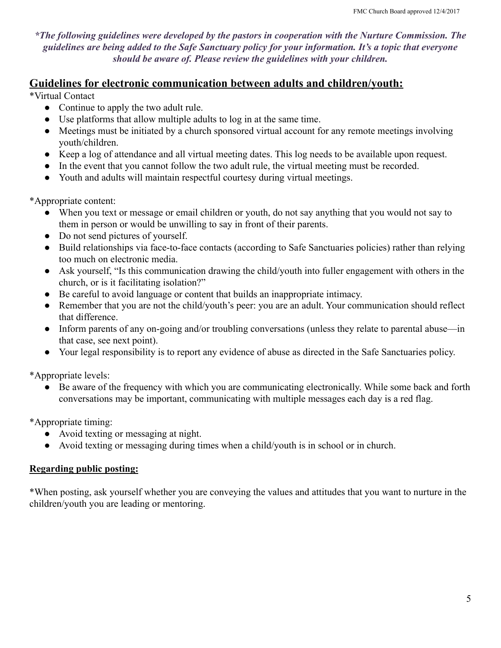*\*The following guidelines were developed by the pastors in cooperation with the Nurture Commission. The guidelines are being added to the Safe Sanctuary policy for your information. It's a topic that everyone should be aware of. Please review the guidelines with your children.*

#### **Guidelines for electronic communication between adults and children/youth:**

\*Virtual Contact

- Continue to apply the two adult rule.
- Use platforms that allow multiple adults to log in at the same time.
- Meetings must be initiated by a church sponsored virtual account for any remote meetings involving youth/children.
- Keep a log of attendance and all virtual meeting dates. This log needs to be available upon request.
- In the event that you cannot follow the two adult rule, the virtual meeting must be recorded.
- Youth and adults will maintain respectful courtesy during virtual meetings.

\*Appropriate content:

- When you text or message or email children or youth, do not say anything that you would not say to them in person or would be unwilling to say in front of their parents.
- Do not send pictures of yourself.
- Build relationships via face-to-face contacts (according to Safe Sanctuaries policies) rather than relying too much on electronic media.
- Ask yourself, "Is this communication drawing the child/youth into fuller engagement with others in the church, or is it facilitating isolation?"
- Be careful to avoid language or content that builds an inappropriate intimacy.
- Remember that you are not the child/youth's peer: you are an adult. Your communication should reflect that difference.
- Inform parents of any on-going and/or troubling conversations (unless they relate to parental abuse—in that case, see next point).
- Your legal responsibility is to report any evidence of abuse as directed in the Safe Sanctuaries policy.

\*Appropriate levels:

Be aware of the frequency with which you are communicating electronically. While some back and forth conversations may be important, communicating with multiple messages each day is a red flag.

\*Appropriate timing:

- Avoid texting or messaging at night.
- Avoid texting or messaging during times when a child/youth is in school or in church.

#### **Regarding public posting:**

\*When posting, ask yourself whether you are conveying the values and attitudes that you want to nurture in the children/youth you are leading or mentoring.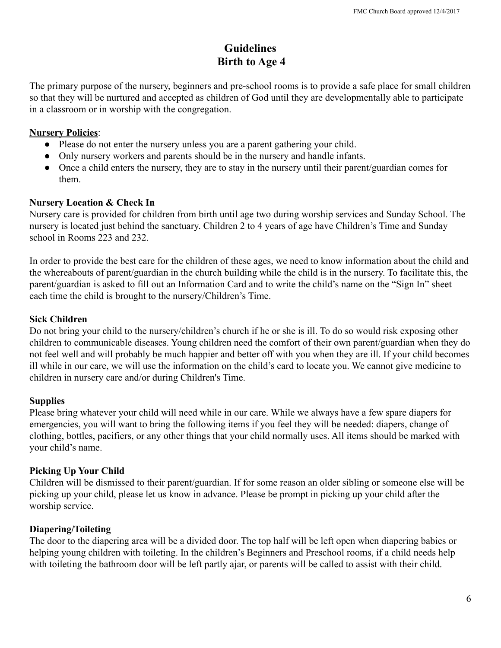## **Guidelines Birth to Age 4**

The primary purpose of the nursery, beginners and pre-school rooms is to provide a safe place for small children so that they will be nurtured and accepted as children of God until they are developmentally able to participate in a classroom or in worship with the congregation.

#### **Nursery Policies**:

- Please do not enter the nursery unless you are a parent gathering your child.
- Only nursery workers and parents should be in the nursery and handle infants.
- Once a child enters the nursery, they are to stay in the nursery until their parent/guardian comes for them.

#### **Nursery Location & Check In**

Nursery care is provided for children from birth until age two during worship services and Sunday School. The nursery is located just behind the sanctuary. Children 2 to 4 years of age have Children's Time and Sunday school in Rooms 223 and 232.

In order to provide the best care for the children of these ages, we need to know information about the child and the whereabouts of parent/guardian in the church building while the child is in the nursery. To facilitate this, the parent/guardian is asked to fill out an Information Card and to write the child's name on the "Sign In" sheet each time the child is brought to the nursery/Children's Time.

#### **Sick Children**

Do not bring your child to the nursery/children's church if he or she is ill. To do so would risk exposing other children to communicable diseases. Young children need the comfort of their own parent/guardian when they do not feel well and will probably be much happier and better off with you when they are ill. If your child becomes ill while in our care, we will use the information on the child's card to locate you. We cannot give medicine to children in nursery care and/or during Children's Time.

#### **Supplies**

Please bring whatever your child will need while in our care. While we always have a few spare diapers for emergencies, you will want to bring the following items if you feel they will be needed: diapers, change of clothing, bottles, pacifiers, or any other things that your child normally uses. All items should be marked with your child's name.

#### **Picking Up Your Child**

Children will be dismissed to their parent/guardian. If for some reason an older sibling or someone else will be picking up your child, please let us know in advance. Please be prompt in picking up your child after the worship service.

#### **Diapering/Toileting**

The door to the diapering area will be a divided door. The top half will be left open when diapering babies or helping young children with toileting. In the children's Beginners and Preschool rooms, if a child needs help with toileting the bathroom door will be left partly ajar, or parents will be called to assist with their child.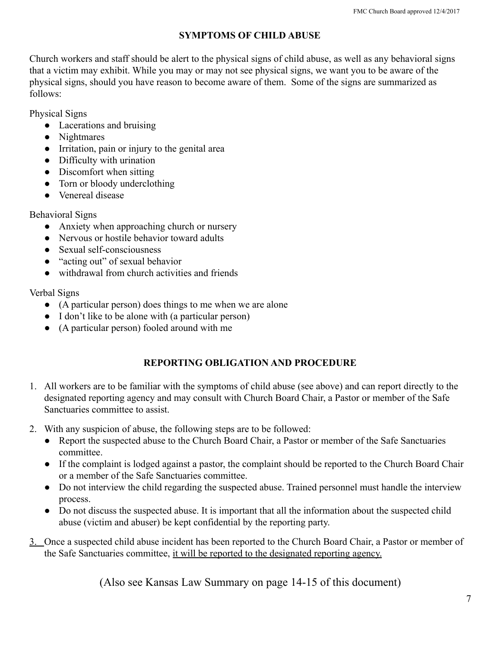#### **SYMPTOMS OF CHILD ABUSE**

Church workers and staff should be alert to the physical signs of child abuse, as well as any behavioral signs that a victim may exhibit. While you may or may not see physical signs, we want you to be aware of the physical signs, should you have reason to become aware of them. Some of the signs are summarized as follows:

Physical Signs

- Lacerations and bruising
- Nightmares
- Irritation, pain or injury to the genital area
- Difficulty with urination
- Discomfort when sitting
- Torn or bloody underclothing
- Venereal disease

Behavioral Signs

- Anxiety when approaching church or nursery
- Nervous or hostile behavior toward adults
- Sexual self-consciousness
- "acting out" of sexual behavior
- withdrawal from church activities and friends

Verbal Signs

- (A particular person) does things to me when we are alone
- I don't like to be alone with (a particular person)
- (A particular person) fooled around with me

#### **REPORTING OBLIGATION AND PROCEDURE**

- 1. All workers are to be familiar with the symptoms of child abuse (see above) and can report directly to the designated reporting agency and may consult with Church Board Chair, a Pastor or member of the Safe Sanctuaries committee to assist.
- 2. With any suspicion of abuse, the following steps are to be followed:
	- Report the suspected abuse to the Church Board Chair, a Pastor or member of the Safe Sanctuaries committee.
	- If the complaint is lodged against a pastor, the complaint should be reported to the Church Board Chair or a member of the Safe Sanctuaries committee.
	- Do not interview the child regarding the suspected abuse. Trained personnel must handle the interview process.
	- Do not discuss the suspected abuse. It is important that all the information about the suspected child abuse (victim and abuser) be kept confidential by the reporting party.
- 3. Once a suspected child abuse incident has been reported to the Church Board Chair, a Pastor or member of the Safe Sanctuaries committee, it will be reported to the designated reporting agency.

(Also see Kansas Law Summary on page 14-15 of this document)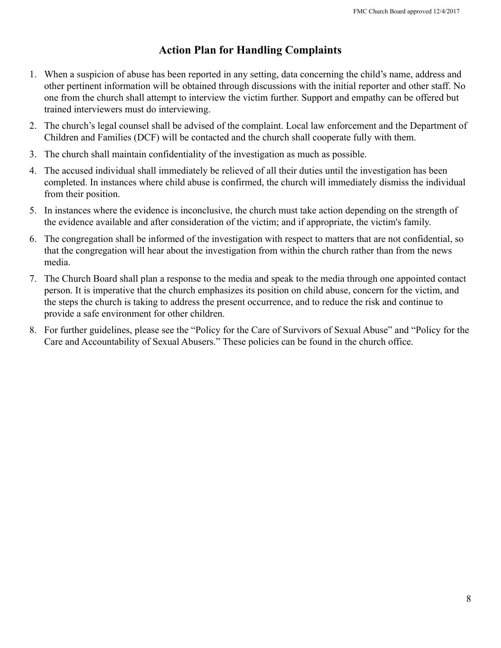### **Action Plan for Handling Complaints**

- 1. When a suspicion of abuse has been reported in any setting, data concerning the child's name, address and other pertinent information will be obtained through discussions with the initial reporter and other staff. No one from the church shall attempt to interview the victim further. Support and empathy can be offered but trained interviewers must do interviewing.
- 2. The church's legal counsel shall be advised of the complaint. Local law enforcement and the Department of Children and Families (DCF) will be contacted and the church shall cooperate fully with them.
- 3. The church shall maintain confidentiality of the investigation as much as possible.
- 4. The accused individual shall immediately be relieved of all their duties until the investigation has been completed. In instances where child abuse is confirmed, the church will immediately dismiss the individual from their position.
- 5. In instances where the evidence is inconclusive, the church must take action depending on the strength of the evidence available and after consideration of the victim; and if appropriate, the victim's family.
- 6. The congregation shall be informed of the investigation with respect to matters that are not confidential, so that the congregation will hear about the investigation from within the church rather than from the news media.
- 7. The Church Board shall plan a response to the media and speak to the media through one appointed contact person. It is imperative that the church emphasizes its position on child abuse, concern for the victim, and the steps the church is taking to address the present occurrence, and to reduce the risk and continue to provide a safe environment for other children.
- 8. For further guidelines, please see the "Policy for the Care of Survivors of Sexual Abuse" and "Policy for the Care and Accountability of Sexual Abusers." These policies can be found in the church office.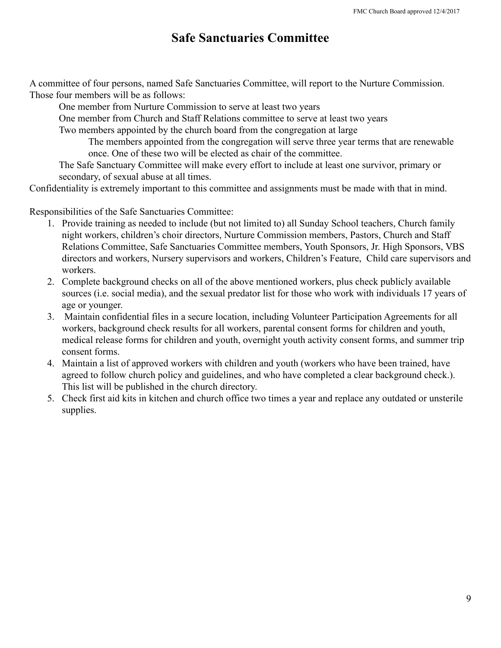## **Safe Sanctuaries Committee**

A committee of four persons, named Safe Sanctuaries Committee, will report to the Nurture Commission. Those four members will be as follows:

One member from Nurture Commission to serve at least two years

One member from Church and Staff Relations committee to serve at least two years

Two members appointed by the church board from the congregation at large

The members appointed from the congregation will serve three year terms that are renewable once. One of these two will be elected as chair of the committee.

The Safe Sanctuary Committee will make every effort to include at least one survivor, primary or secondary, of sexual abuse at all times.

Confidentiality is extremely important to this committee and assignments must be made with that in mind.

Responsibilities of the Safe Sanctuaries Committee:

- 1. Provide training as needed to include (but not limited to) all Sunday School teachers, Church family night workers, children's choir directors, Nurture Commission members, Pastors, Church and Staff Relations Committee, Safe Sanctuaries Committee members, Youth Sponsors, Jr. High Sponsors, VBS directors and workers, Nursery supervisors and workers, Children's Feature, Child care supervisors and workers.
- 2. Complete background checks on all of the above mentioned workers, plus check publicly available sources (i.e. social media), and the sexual predator list for those who work with individuals 17 years of age or younger.
- 3. Maintain confidential files in a secure location, including Volunteer Participation Agreements for all workers, background check results for all workers, parental consent forms for children and youth, medical release forms for children and youth, overnight youth activity consent forms, and summer trip consent forms.
- 4. Maintain a list of approved workers with children and youth (workers who have been trained, have agreed to follow church policy and guidelines, and who have completed a clear background check.). This list will be published in the church directory.
- 5. Check first aid kits in kitchen and church office two times a year and replace any outdated or unsterile supplies.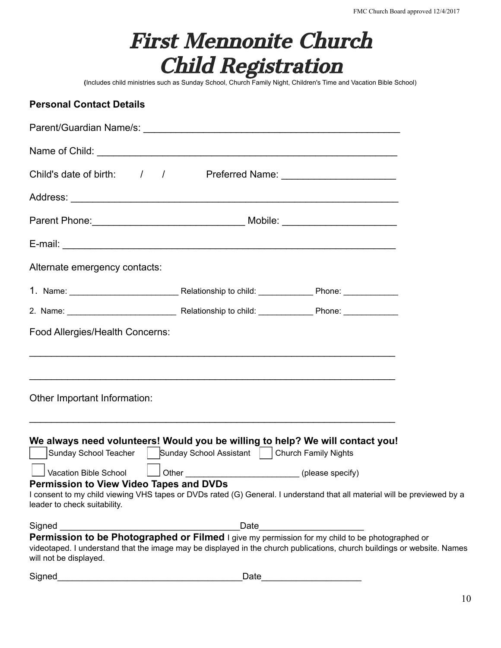| <b>First Mennonite Church</b> |  |  |  |  |
|-------------------------------|--|--|--|--|
| <b>Child Registration</b>     |  |  |  |  |

**(**Includes child ministries such as Sunday School, Church Family Night, Children's Time and Vacation Bible School)

## **Personal Contact Details**

| Child's date of birth: / / / Preferred Name: ___________________________________                                                                                                                                                                                                                                                                                                                                                     |      |  |
|--------------------------------------------------------------------------------------------------------------------------------------------------------------------------------------------------------------------------------------------------------------------------------------------------------------------------------------------------------------------------------------------------------------------------------------|------|--|
|                                                                                                                                                                                                                                                                                                                                                                                                                                      |      |  |
|                                                                                                                                                                                                                                                                                                                                                                                                                                      |      |  |
|                                                                                                                                                                                                                                                                                                                                                                                                                                      |      |  |
| Alternate emergency contacts:                                                                                                                                                                                                                                                                                                                                                                                                        |      |  |
|                                                                                                                                                                                                                                                                                                                                                                                                                                      |      |  |
|                                                                                                                                                                                                                                                                                                                                                                                                                                      |      |  |
| Food Allergies/Health Concerns:<br>,我们也不会有什么。""我们的人,我们也不会有什么?""我们的人,我们也不会有什么?""我们的人,我们也不会有什么?""我们的人,我们也不会有什么?""我们的人                                                                                                                                                                                                                                                                                                                  |      |  |
| Other Important Information:                                                                                                                                                                                                                                                                                                                                                                                                         |      |  |
| <u> 1989 - Johann Stoff, amerikansk politiker (d. 1989)</u><br>We always need volunteers! Would you be willing to help? We will contact you!<br>Sunday School Teacher   Sunday School Assistant   Church Family Nights<br><b>Permission to View Video Tapes and DVDs</b><br>I consent to my child viewing VHS tapes or DVDs rated (G) General. I understand that all material will be previewed by a<br>leader to check suitability. |      |  |
| Signed                                                                                                                                                                                                                                                                                                                                                                                                                               | Date |  |
| Permission to be Photographed or Filmed I give my permission for my child to be photographed or<br>videotaped. I understand that the image may be displayed in the church publications, church buildings or website. Names<br>will not be displayed.                                                                                                                                                                                 |      |  |

| Signed | ⊃ate |
|--------|------|
|        |      |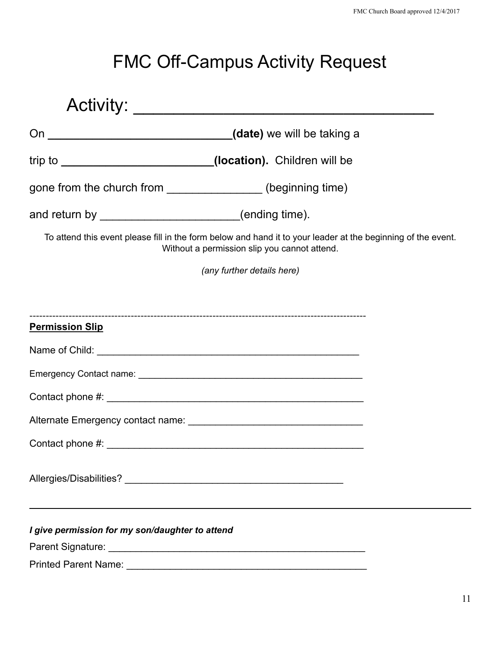# FMC Off-Campus Activity Request

|                                                       | trip to _______________________________(location). Children will be                                                                                          |
|-------------------------------------------------------|--------------------------------------------------------------------------------------------------------------------------------------------------------------|
|                                                       | gone from the church from _________________(beginning time)                                                                                                  |
| and return by _________________________(ending time). |                                                                                                                                                              |
|                                                       | To attend this event please fill in the form below and hand it to your leader at the beginning of the event.<br>Without a permission slip you cannot attend. |
|                                                       | (any further details here)                                                                                                                                   |
|                                                       |                                                                                                                                                              |
| <b>Permission Slip</b>                                |                                                                                                                                                              |
|                                                       |                                                                                                                                                              |
|                                                       |                                                                                                                                                              |
|                                                       |                                                                                                                                                              |
|                                                       |                                                                                                                                                              |
|                                                       |                                                                                                                                                              |
|                                                       |                                                                                                                                                              |
| I give permission for my son/daughter to attend       |                                                                                                                                                              |
|                                                       |                                                                                                                                                              |
|                                                       |                                                                                                                                                              |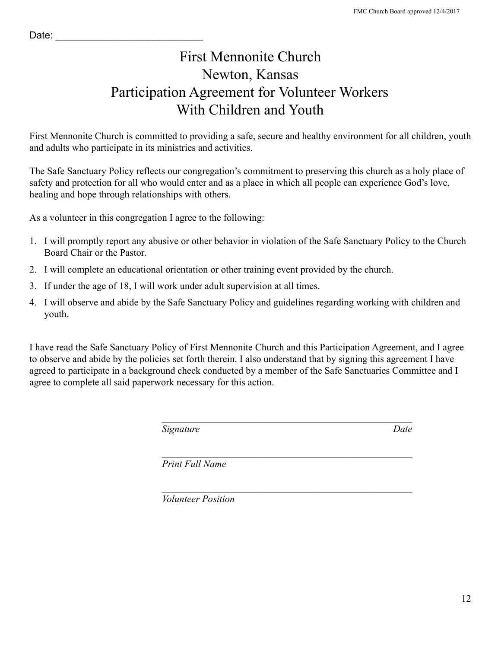## First Mennonite Church Newton, Kansas Participation Agreement for Volunteer Workers With Children and Youth

First Mennonite Church is committed to providing a safe, secure and healthy environment for all children, youth and adults who participate in its ministries and activities.

The Safe Sanctuary Policy reflects our congregation's commitment to preserving this church as a holy place of safety and protection for all who would enter and as a place in which all people can experience God's love, healing and hope through relationships with others.

As a volunteer in this congregation I agree to the following:

- 1. I will promptly report any abusive or other behavior in violation of the Safe Sanctuary Policy to the Church Board Chair or the Pastor.
- 2. I will complete an educational orientation or other training event provided by the church.
- 3. If under the age of 18, I will work under adult supervision at all times.
- 4. I will observe and abide by the Safe Sanctuary Policy and guidelines regarding working with children and youth.

I have read the Safe Sanctuary Policy of First Mennonite Church and this Participation Agreement, and I agree to observe and abide by the policies set forth therein. I also understand that by signing this agreement I have agreed to participate in a background check conducted by a member of the Safe Sanctuaries Committee and I agree to complete all said paperwork necessary for this action.

 $\mathcal{L}_\text{max}$  and the contract of the contract of the contract of the contract of the contract of the contract of the contract of the contract of the contract of the contract of the contract of the contract of the contrac

 $\mathcal{L}_\text{max}$  and the contract of the contract of the contract of the contract of the contract of the contract of the contract of the contract of the contract of the contract of the contract of the contract of the contrac

*Signature Date*

 $\mathcal{L}_\text{max}$  and the contract of the contract of the contract of the contract of the contract of the contract of the contract of the contract of the contract of the contract of the contract of the contract of the contrac

*Print Full Name*

*Volunteer Position*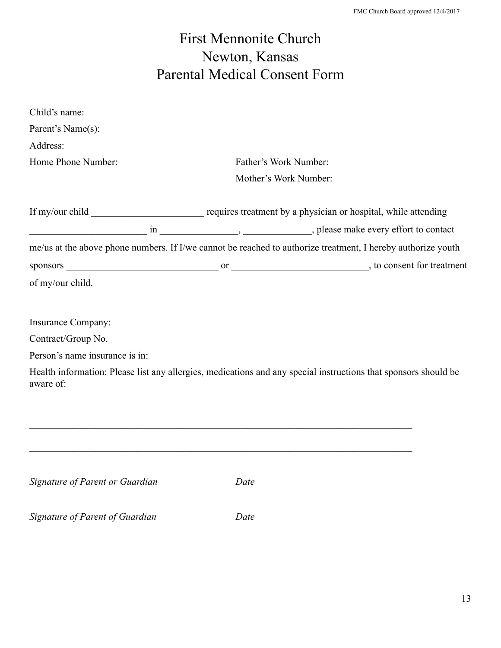# First Mennonite Church Newton, Kansas Parental Medical Consent Form

| Child's name:                   |                                                                                                                 |                       |  |  |
|---------------------------------|-----------------------------------------------------------------------------------------------------------------|-----------------------|--|--|
| Parent's Name(s):               |                                                                                                                 |                       |  |  |
| Address:                        |                                                                                                                 |                       |  |  |
| Home Phone Number:              |                                                                                                                 | Father's Work Number: |  |  |
|                                 | Mother's Work Number:                                                                                           |                       |  |  |
|                                 |                                                                                                                 |                       |  |  |
|                                 |                                                                                                                 |                       |  |  |
|                                 | me/us at the above phone numbers. If I/we cannot be reached to authorize treatment, I hereby authorize youth    |                       |  |  |
|                                 |                                                                                                                 |                       |  |  |
| of my/our child.                |                                                                                                                 |                       |  |  |
|                                 |                                                                                                                 |                       |  |  |
| Insurance Company:              |                                                                                                                 |                       |  |  |
| Contract/Group No.              |                                                                                                                 |                       |  |  |
| Person's name insurance is in:  |                                                                                                                 |                       |  |  |
| aware of:                       | Health information: Please list any allergies, medications and any special instructions that sponsors should be |                       |  |  |
|                                 |                                                                                                                 |                       |  |  |
|                                 |                                                                                                                 |                       |  |  |
|                                 | <u> 1989 - Johann Stoff, amerikansk politiker (d. 1989)</u>                                                     |                       |  |  |
|                                 |                                                                                                                 |                       |  |  |
|                                 |                                                                                                                 |                       |  |  |
| Signature of Parent or Guardian | Date                                                                                                            |                       |  |  |
|                                 |                                                                                                                 |                       |  |  |
| Signature of Parent of Guardian | Date                                                                                                            |                       |  |  |
|                                 |                                                                                                                 |                       |  |  |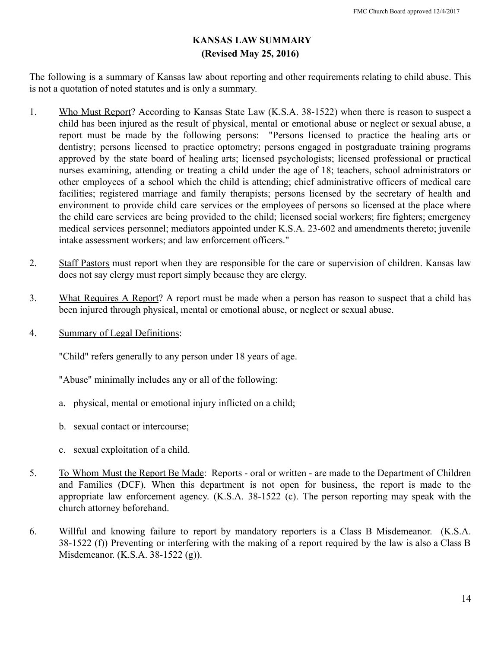#### **KANSAS LAW SUMMARY (Revised May 25, 2016)**

The following is a summary of Kansas law about reporting and other requirements relating to child abuse. This is not a quotation of noted statutes and is only a summary.

- 1. Who Must Report? According to Kansas State Law (K.S.A. 38-1522) when there is reason to suspect a child has been injured as the result of physical, mental or emotional abuse or neglect or sexual abuse, a report must be made by the following persons: "Persons licensed to practice the healing arts or dentistry; persons licensed to practice optometry; persons engaged in postgraduate training programs approved by the state board of healing arts; licensed psychologists; licensed professional or practical nurses examining, attending or treating a child under the age of 18; teachers, school administrators or other employees of a school which the child is attending; chief administrative officers of medical care facilities; registered marriage and family therapists; persons licensed by the secretary of health and environment to provide child care services or the employees of persons so licensed at the place where the child care services are being provided to the child; licensed social workers; fire fighters; emergency medical services personnel; mediators appointed under K.S.A. 23-602 and amendments thereto; juvenile intake assessment workers; and law enforcement officers."
- 2. Staff Pastors must report when they are responsible for the care or supervision of children. Kansas law does not say clergy must report simply because they are clergy.
- 3. What Requires A Report? A report must be made when a person has reason to suspect that a child has been injured through physical, mental or emotional abuse, or neglect or sexual abuse.
- 4. Summary of Legal Definitions:

"Child" refers generally to any person under 18 years of age.

"Abuse" minimally includes any or all of the following:

- a. physical, mental or emotional injury inflicted on a child;
- b. sexual contact or intercourse;
- c. sexual exploitation of a child.
- 5. To Whom Must the Report Be Made: Reports oral or written are made to the Department of Children and Families (DCF). When this department is not open for business, the report is made to the appropriate law enforcement agency. (K.S.A. 38-1522 (c). The person reporting may speak with the church attorney beforehand.
- 6. Willful and knowing failure to report by mandatory reporters is a Class B Misdemeanor. (K.S.A. 38-1522 (f)) Preventing or interfering with the making of a report required by the law is also a Class B Misdemeanor. (K.S.A. 38-1522 (g)).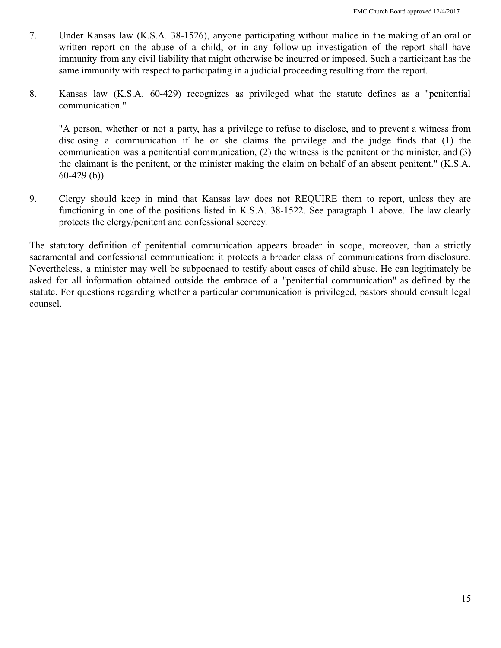- 7. Under Kansas law (K.S.A. 38-1526), anyone participating without malice in the making of an oral or written report on the abuse of a child, or in any follow-up investigation of the report shall have immunity from any civil liability that might otherwise be incurred or imposed. Such a participant has the same immunity with respect to participating in a judicial proceeding resulting from the report.
- 8. Kansas law (K.S.A. 60-429) recognizes as privileged what the statute defines as a "penitential communication."

"A person, whether or not a party, has a privilege to refuse to disclose, and to prevent a witness from disclosing a communication if he or she claims the privilege and the judge finds that (1) the communication was a penitential communication, (2) the witness is the penitent or the minister, and (3) the claimant is the penitent, or the minister making the claim on behalf of an absent penitent." (K.S.A. 60-429 (b))

9. Clergy should keep in mind that Kansas law does not REQUIRE them to report, unless they are functioning in one of the positions listed in K.S.A. 38-1522. See paragraph 1 above. The law clearly protects the clergy/penitent and confessional secrecy.

The statutory definition of penitential communication appears broader in scope, moreover, than a strictly sacramental and confessional communication: it protects a broader class of communications from disclosure. Nevertheless, a minister may well be subpoenaed to testify about cases of child abuse. He can legitimately be asked for all information obtained outside the embrace of a "penitential communication" as defined by the statute. For questions regarding whether a particular communication is privileged, pastors should consult legal counsel.